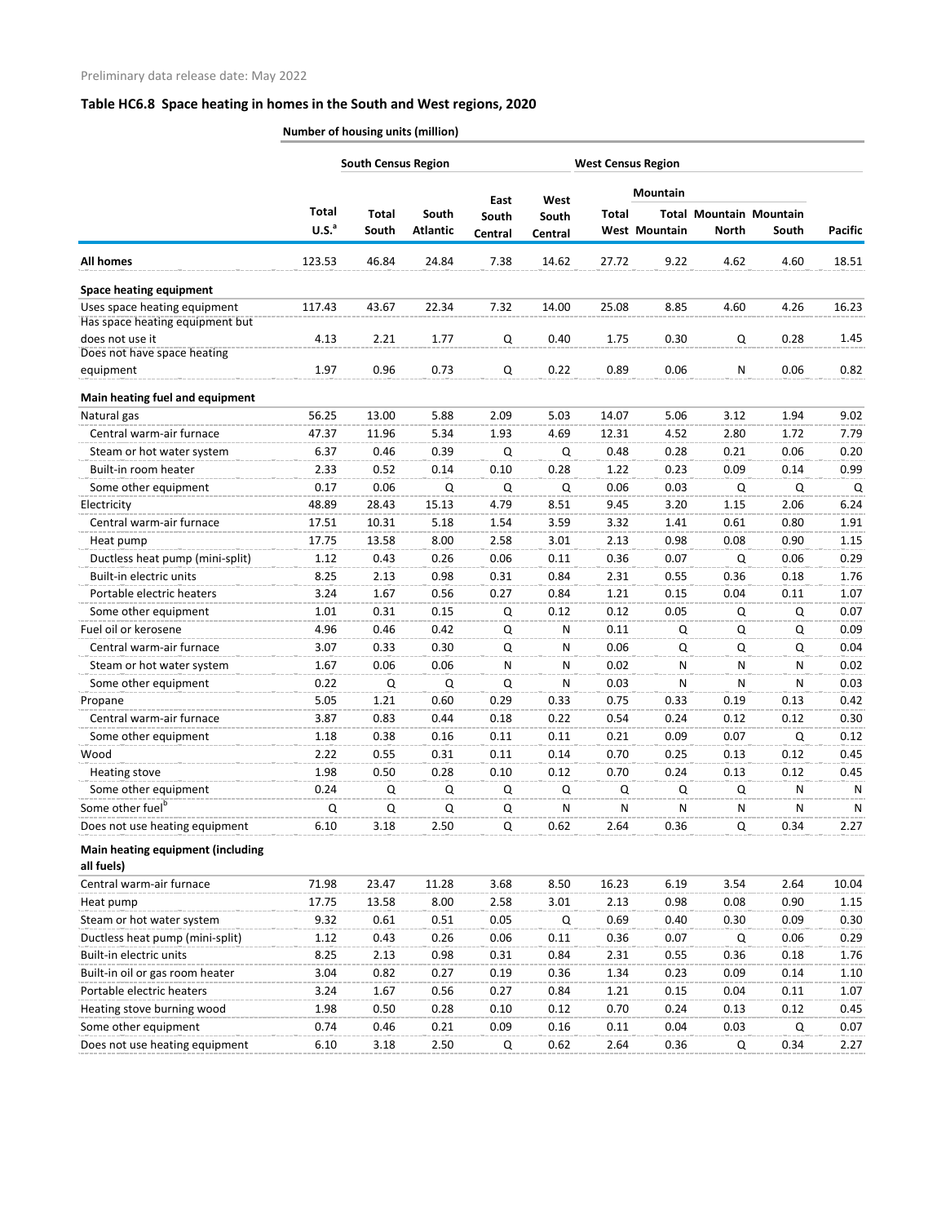|                                                 | <b>South Census Region</b> |              |                 |               |               | <b>West Census Region</b> |                      |              |                                |                |
|-------------------------------------------------|----------------------------|--------------|-----------------|---------------|---------------|---------------------------|----------------------|--------------|--------------------------------|----------------|
|                                                 |                            |              |                 |               |               |                           | <b>Mountain</b>      |              |                                |                |
|                                                 | <b>Total</b>               | <b>Total</b> | South           | East<br>South | West<br>South | Total                     |                      |              | <b>Total Mountain Mountain</b> |                |
|                                                 | U.S. <sup>a</sup>          | South        | <b>Atlantic</b> | Central       | Central       |                           | <b>West Mountain</b> | <b>North</b> | South                          | <b>Pacific</b> |
| <b>All homes</b>                                | 123.53                     | 46.84        | 24.84           | 7.38          | 14.62         | 27.72                     | 9.22                 | 4.62         | 4.60                           | 18.51          |
| <b>Space heating equipment</b>                  |                            |              |                 |               |               |                           |                      |              |                                |                |
| Uses space heating equipment                    | 117.43                     | 43.67        | 22.34           | 7.32          | 14.00         | 25.08                     | 8.85                 | 4.60         | 4.26                           | 16.23          |
| Has space heating equipment but                 |                            |              |                 |               |               |                           |                      |              |                                |                |
| does not use it<br>Does not have space heating  | 4.13                       | 2.21         | 1.77            | Q             | 0.40          | 1.75                      | 0.30                 | Q            | 0.28                           | 1.45           |
| equipment                                       | 1.97                       | 0.96         | 0.73            | Q             | 0.22          | 0.89                      | 0.06                 | N            | 0.06                           | 0.82           |
| Main heating fuel and equipment                 |                            |              |                 |               |               |                           |                      |              |                                |                |
| Natural gas                                     | 56.25                      | 13.00        | 5.88            | 2.09          | 5.03          | 14.07                     | 5.06                 | 3.12         | 1.94                           | 9.02           |
| Central warm-air furnace                        | 47.37                      | 11.96        | 5.34            | 1.93          | 4.69          | 12.31                     | 4.52                 | 2.80         | 1.72                           | 7.79           |
| Steam or hot water system                       | 6.37                       | 0.46         | 0.39            | Q             | Q             | 0.48                      | 0.28                 | 0.21         | 0.06                           | 0.20           |
| Built-in room heater                            | 2.33                       | 0.52         | 0.14            | 0.10          | 0.28          | 1.22                      | 0.23                 | 0.09         | 0.14                           | 0.99           |
| Some other equipment                            | 0.17                       | 0.06         | Q               | Q             | Q             | 0.06                      | 0.03                 | Q            | Q                              | Q              |
| Electricity                                     | 48.89                      | 28.43        | 15.13           | 4.79          | 8.51          | 9.45                      | 3.20                 | 1.15         | 2.06                           | 6.24           |
| Central warm-air furnace                        | 17.51                      | 10.31        | 5.18            | 1.54          | 3.59          | 3.32                      | 1.41                 | 0.61         | 0.80                           | 1.91           |
| Heat pump                                       | 17.75                      | 13.58        | 8.00            | 2.58          | 3.01          | 2.13                      | 0.98                 | 0.08         | 0.90                           | 1.15           |
| Ductless heat pump (mini-split)                 | 1.12                       | 0.43         | 0.26            | 0.06          | 0.11          | 0.36                      | 0.07                 | Q            | 0.06                           | 0.29           |
| Built-in electric units                         | 8.25                       | 2.13         | 0.98            | 0.31          | 0.84          | 2.31                      | 0.55                 | 0.36         | 0.18                           | 1.76           |
| Portable electric heaters                       | 3.24                       | 1.67         | 0.56            | 0.27          | 0.84          | 1.21                      | 0.15                 | 0.04         | 0.11                           | 1.07           |
| Some other equipment                            | 1.01                       | 0.31         | 0.15            | Q             | 0.12          | 0.12                      | 0.05                 | Q            | Q                              | 0.07           |
| Fuel oil or kerosene                            | 4.96                       | 0.46         | 0.42            | Q             | N             | 0.11                      | Q                    | Q            | Q                              | 0.09           |
| Central warm-air furnace                        | 3.07                       | 0.33         | 0.30            | Q             | N             | 0.06                      | Q                    | Q            | Q                              | 0.04           |
| Steam or hot water system                       | 1.67                       | 0.06         | 0.06            | N             | N             | 0.02                      | N                    | N            | N                              | 0.02           |
| Some other equipment                            | 0.22                       | Q            | Q               | Q             | N             | 0.03                      | N                    | N            | N                              | 0.03           |
| Propane                                         | 5.05                       | 1.21         | 0.60            | 0.29          | 0.33          | 0.75                      | 0.33                 | 0.19         | 0.13                           | 0.42           |
| Central warm-air furnace                        | 3.87                       | 0.83         | 0.44            | 0.18          | 0.22          | 0.54                      | 0.24                 | 0.12         | 0.12                           | 0.30           |
| Some other equipment                            | 1.18                       | 0.38         | 0.16            | 0.11          | 0.11          | 0.21                      | 0.09                 | 0.07         | Q                              | 0.12           |
| Wood                                            | 2.22                       | 0.55         | 0.31            | 0.11          | 0.14          | 0.70                      | 0.25                 | 0.13         | 0.12                           | 0.45           |
| Heating stove                                   | 1.98                       | 0.50         | 0.28            | 0.10          | 0.12          | 0.70                      | 0.24                 | 0.13         | 0.12                           | 0.45           |
| Some other equipment                            | 0.24                       | Q            | Q               | Q             | Q             | Q                         | Q                    | Q            | N                              | N              |
| Some other fuel <sup>b</sup>                    | Q                          | Q            | Q               | Q             | N             | N                         | ${\sf N}$            | N            | N                              | N              |
| Does not use heating equipment                  | 6.10                       | 3.18         | 2.50            | Q             | 0.62          | 2.64                      | 0.36                 | Q            | 0.34                           | 2.27           |
| Main heating equipment (including<br>all fuels) |                            |              |                 |               |               |                           |                      |              |                                |                |
| Central warm-air furnace                        | 71.98                      | 23.47        | 11.28           | 3.68          | 8.50          | 16.23                     | 6.19                 | 3.54         | 2.64                           | 10.04          |
| Heat pump                                       | 17.75                      | 13.58        | 8.00            | 2.58          | 3.01          | 2.13                      | 0.98                 | 0.08         | 0.90                           | 1.15           |
| Steam or hot water system                       | 9.32                       | 0.61         | 0.51            | 0.05          | Q             | 0.69                      | 0.40                 | 0.30         | 0.09                           | 0.30           |
| Ductless heat pump (mini-split)                 | 1.12                       | 0.43         | 0.26            | 0.06          | 0.11          | 0.36                      | 0.07                 | Q            | 0.06                           | 0.29           |
| Built-in electric units                         | 8.25                       | 2.13         | 0.98            | 0.31          | 0.84          | 2.31                      | 0.55                 | 0.36         | 0.18                           | 1.76           |
| Built-in oil or gas room heater                 | 3.04                       | 0.82         | 0.27            | 0.19          | 0.36          | 1.34                      | 0.23                 | 0.09         | 0.14                           | 1.10           |
| Portable electric heaters                       | 3.24                       | 1.67         | 0.56            | 0.27          | 0.84          | 1.21                      | 0.15                 | 0.04         | 0.11                           | 1.07           |
| Heating stove burning wood                      | 1.98                       | 0.50         | 0.28            | 0.10          | 0.12          | 0.70                      | 0.24                 | 0.13         | 0.12                           | 0.45           |
| Some other equipment                            | 0.74                       | 0.46         | 0.21            | 0.09          | 0.16          | 0.11                      | 0.04                 | 0.03         | Q                              | 0.07           |
| Does not use heating equipment                  | 6.10                       | 3.18         | 2.50            | Q             | 0.62          | 2.64                      | 0.36                 | Q            | 0.34                           | 2.27           |
|                                                 |                            |              |                 |               |               |                           |                      |              |                                |                |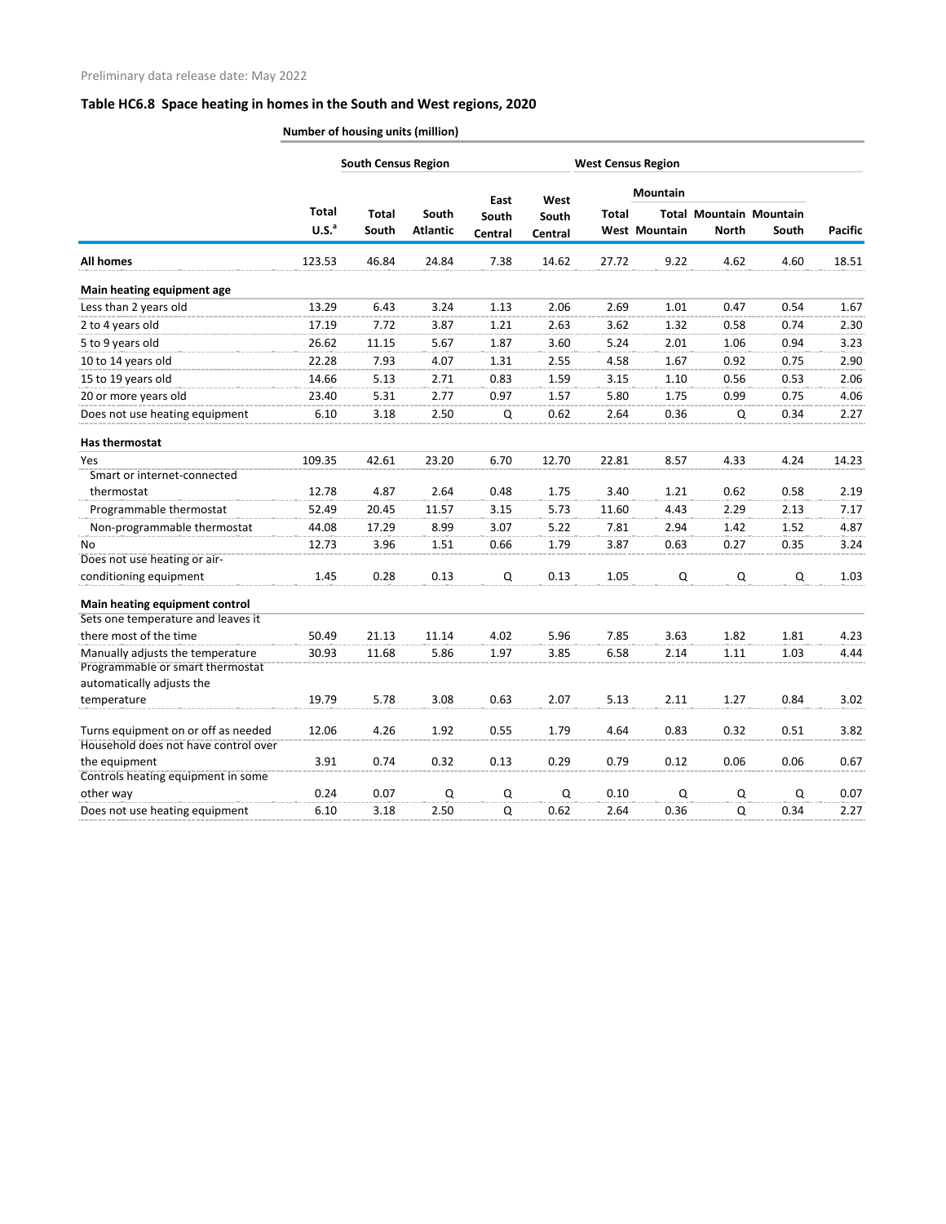|                                                                      |                   | <b>South Census Region</b> |                          |                  |                  |              | <b>West Census Region</b> |              |                                         |                |
|----------------------------------------------------------------------|-------------------|----------------------------|--------------------------|------------------|------------------|--------------|---------------------------|--------------|-----------------------------------------|----------------|
|                                                                      | <b>Total</b>      |                            |                          | East             | West             |              | <b>Mountain</b>           |              |                                         |                |
|                                                                      | U.S. <sup>a</sup> | <b>Total</b><br>South      | South<br><b>Atlantic</b> | South<br>Central | South<br>Central | <b>Total</b> | <b>West Mountain</b>      | <b>North</b> | <b>Total Mountain Mountain</b><br>South | <b>Pacific</b> |
|                                                                      |                   |                            |                          |                  |                  |              |                           |              |                                         |                |
| <b>All homes</b>                                                     | 123.53            | 46.84                      | 24.84                    | 7.38             | 14.62            | 27.72        | 9.22                      | 4.62         | 4.60                                    | 18.51          |
| Main heating equipment age                                           |                   |                            |                          |                  |                  |              |                           |              |                                         |                |
| Less than 2 years old                                                | 13.29             | 6.43                       | 3.24                     | 1.13             | 2.06             | 2.69         | 1.01                      | 0.47         | 0.54                                    | 1.67           |
| 2 to 4 years old                                                     | 17.19             | 7.72                       | 3.87                     | 1.21             | 2.63             | 3.62         | 1.32                      | 0.58         | 0.74                                    | 2.30           |
| 5 to 9 years old                                                     | 26.62             | 11.15                      | 5.67                     | 1.87             | 3.60             | 5.24         | 2.01                      | 1.06         | 0.94                                    | 3.23           |
| 10 to 14 years old                                                   | 22.28             | 7.93                       | 4.07                     | 1.31             | 2.55             | 4.58         | 1.67                      | 0.92         | 0.75                                    | 2.90           |
| 15 to 19 years old                                                   | 14.66             | 5.13                       | 2.71                     | 0.83             | 1.59             | 3.15         | 1.10                      | 0.56         | 0.53                                    | 2.06           |
| 20 or more years old                                                 | 23.40             | 5.31                       | 2.77                     | 0.97             | 1.57             | 5.80         | 1.75                      | 0.99         | 0.75                                    | 4.06           |
| Does not use heating equipment                                       | 6.10              | 3.18                       | 2.50                     | Q                | 0.62             | 2.64         | 0.36                      | Q            | 0.34                                    | 2.27           |
| Has thermostat                                                       |                   |                            |                          |                  |                  |              |                           |              |                                         |                |
| Yes                                                                  | 109.35            | 42.61                      | 23.20                    | 6.70             | 12.70            | 22.81        | 8.57                      | 4.33         | 4.24                                    | 14.23          |
| Smart or internet-connected                                          |                   |                            |                          |                  |                  |              |                           |              |                                         |                |
| thermostat                                                           | 12.78             | 4.87                       | 2.64                     | 0.48             | 1.75             | 3.40         | 1.21                      | 0.62         | 0.58                                    | 2.19           |
| Programmable thermostat                                              | 52.49             | 20.45                      | 11.57                    | 3.15             | 5.73             | 11.60        | 4.43                      | 2.29         | 2.13                                    | 7.17           |
| Non-programmable thermostat                                          | 44.08             | 17.29                      | 8.99                     | 3.07             | 5.22             | 7.81         | 2.94                      | 1.42         | 1.52                                    | 4.87           |
| No                                                                   | 12.73             | 3.96                       | 1.51                     | 0.66             | 1.79             | 3.87         | 0.63                      | 0.27         | 0.35                                    | 3.24           |
| Does not use heating or air-                                         |                   |                            |                          |                  |                  |              |                           |              |                                         |                |
| conditioning equipment                                               | 1.45              | 0.28                       | 0.13                     | Q                | 0.13             | 1.05         | Q                         | Q            | Q                                       | 1.03           |
| Main heating equipment control                                       |                   |                            |                          |                  |                  |              |                           |              |                                         |                |
| Sets one temperature and leaves it                                   |                   |                            |                          |                  |                  |              |                           |              |                                         |                |
| there most of the time                                               | 50.49             | 21.13                      | 11.14                    | 4.02             | 5.96             | 7.85         | 3.63                      | 1.82         | 1.81                                    | 4.23           |
| Manually adjusts the temperature<br>Programmable or smart thermostat | 30.93             | 11.68                      | 5.86                     | 1.97             | 3.85             | 6.58         | 2.14                      | 1.11         | 1.03                                    | 4.44           |
| automatically adjusts the                                            |                   |                            |                          |                  |                  |              |                           |              |                                         |                |
| temperature                                                          | 19.79             | 5.78                       | 3.08                     | 0.63             | 2.07             | 5.13         | 2.11                      | 1.27         | 0.84                                    | 3.02           |
| Turns equipment on or off as needed                                  | 12.06             | 4.26                       | 1.92                     | 0.55             | 1.79             | 4.64         | 0.83                      | 0.32         | 0.51                                    | 3.82           |
| Household does not have control over                                 |                   |                            |                          |                  |                  |              |                           |              |                                         |                |
| the equipment<br>Controls heating equipment in some                  | 3.91              | 0.74                       | 0.32                     | 0.13             | 0.29             | 0.79         | 0.12                      | 0.06         | 0.06                                    | 0.67           |
| other way                                                            | 0.24              | 0.07                       | Q                        | Q                | Q                | 0.10         | Q                         | Q            | Q                                       | 0.07           |
| Does not use heating equipment                                       | 6.10              | 3.18                       | 2.50                     | Q                | 0.62             | 2.64         | 0.36                      | Q            | 0.34                                    | 2.27           |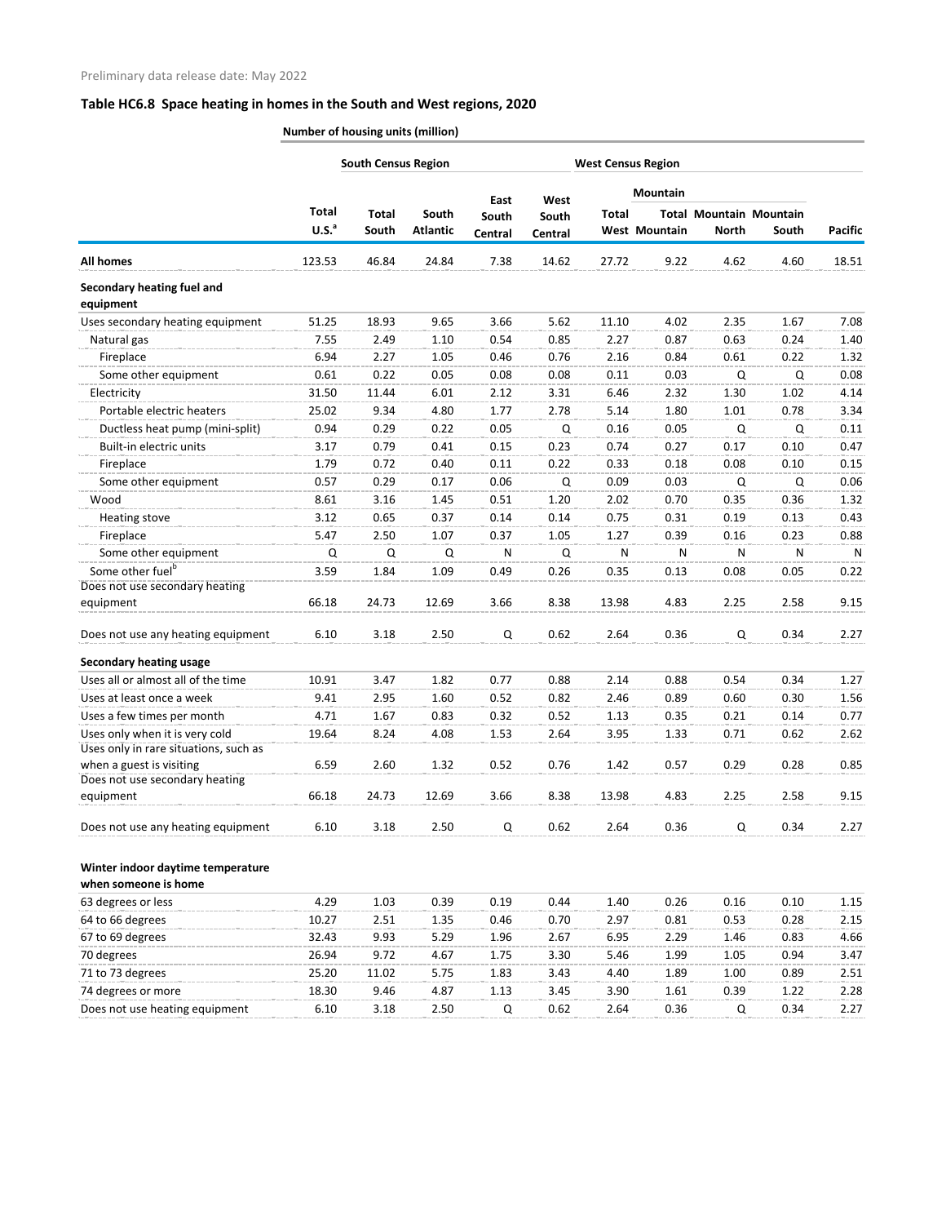|                                       |                   | <b>South Census Region</b> |                 |               |               | <b>West Census Region</b> |                      |              |                                |                |
|---------------------------------------|-------------------|----------------------------|-----------------|---------------|---------------|---------------------------|----------------------|--------------|--------------------------------|----------------|
|                                       |                   |                            |                 |               |               |                           | <b>Mountain</b>      |              |                                |                |
|                                       | Total             | <b>Total</b>               | South           | East<br>South | West<br>South | <b>Total</b>              |                      |              | <b>Total Mountain Mountain</b> |                |
|                                       | U.S. <sup>a</sup> | South                      | <b>Atlantic</b> | Central       | Central       |                           | <b>West Mountain</b> | <b>North</b> | South                          | <b>Pacific</b> |
| <b>All homes</b>                      | 123.53            | 46.84                      | 24.84           | 7.38          | 14.62         | 27.72                     | 9.22                 | 4.62         | 4.60                           | 18.51          |
| Secondary heating fuel and            |                   |                            |                 |               |               |                           |                      |              |                                |                |
| equipment                             |                   |                            |                 |               |               |                           |                      |              |                                |                |
| Uses secondary heating equipment      | 51.25             | 18.93                      | 9.65            | 3.66          | 5.62          | 11.10                     | 4.02                 | 2.35         | 1.67                           | 7.08           |
| Natural gas                           | 7.55              | 2.49                       | 1.10            | 0.54          | 0.85          | 2.27                      | 0.87                 | 0.63         | 0.24                           | 1.40           |
| Fireplace                             | 6.94              | 2.27                       | 1.05            | 0.46          | 0.76          | 2.16                      | 0.84                 | 0.61         | 0.22                           | 1.32           |
| Some other equipment                  | 0.61              | 0.22                       | 0.05            | 0.08          | 0.08          | 0.11                      | 0.03                 | Q            | Q                              | 0.08           |
| Electricity                           | 31.50             | 11.44                      | 6.01            | 2.12          | 3.31          | 6.46                      | 2.32                 | 1.30         | 1.02                           | 4.14           |
| Portable electric heaters             | 25.02             | 9.34                       | 4.80            | 1.77          | 2.78          | 5.14                      | 1.80                 | 1.01         | 0.78                           | 3.34           |
| Ductless heat pump (mini-split)       | 0.94              | 0.29                       | 0.22            | 0.05          | Q             | 0.16                      | 0.05                 | Q            | Q                              | 0.11           |
| Built-in electric units               | 3.17              | 0.79                       | 0.41            | 0.15          | 0.23          | 0.74                      | 0.27                 | 0.17         | 0.10                           | 0.47           |
| Fireplace                             | 1.79              | 0.72                       | 0.40            | 0.11          | 0.22          | 0.33                      | 0.18                 | 0.08         | 0.10                           | 0.15           |
| Some other equipment                  | 0.57              | 0.29                       | 0.17            | 0.06          | Q             | 0.09                      | 0.03                 | Q            | Q                              | 0.06           |
| Wood                                  | 8.61              | 3.16                       | 1.45            | 0.51          | 1.20          | 2.02                      | 0.70                 | 0.35         | 0.36                           | 1.32           |
| Heating stove                         | 3.12              | 0.65                       | 0.37            | 0.14          | 0.14          | 0.75                      | 0.31                 | 0.19         | 0.13                           | 0.43           |
| Fireplace                             | 5.47              | 2.50                       | 1.07            | 0.37          | 1.05          | 1.27                      | 0.39                 | 0.16         | 0.23                           | 0.88           |
| Some other equipment                  | Q                 | Q                          | Q               | N             | Q             | N                         | N                    | N            | N                              | N              |
| Some other fuel <sup>b</sup>          | 3.59              | 1.84                       | 1.09            | 0.49          | 0.26          | 0.35                      | 0.13                 | 0.08         | 0.05                           | 0.22           |
| Does not use secondary heating        |                   |                            |                 |               |               |                           |                      |              |                                |                |
| equipment                             | 66.18             | 24.73                      | 12.69           | 3.66          | 8.38          | 13.98                     | 4.83                 | 2.25         | 2.58                           | 9.15           |
| Does not use any heating equipment    | 6.10              | 3.18                       | 2.50            | Q             | 0.62          | 2.64                      | 0.36                 | Q            | 0.34                           | 2.27           |
| <b>Secondary heating usage</b>        |                   |                            |                 |               |               |                           |                      |              |                                |                |
| Uses all or almost all of the time    | 10.91             | 3.47                       | 1.82            | 0.77          | 0.88          | 2.14                      | 0.88                 | 0.54         | 0.34                           | 1.27           |
| Uses at least once a week             | 9.41              | 2.95                       | 1.60            | 0.52          | 0.82          | 2.46                      | 0.89                 | 0.60         | 0.30                           | 1.56           |
| Uses a few times per month            | 4.71              | 1.67                       | 0.83            | 0.32          | 0.52          | 1.13                      | 0.35                 | 0.21         | 0.14                           | 0.77           |
| Uses only when it is very cold        | 19.64             | 8.24                       | 4.08            | 1.53          | 2.64          | 3.95                      | 1.33                 | 0.71         | 0.62                           | 2.62           |
| Uses only in rare situations, such as |                   |                            |                 |               |               |                           |                      |              |                                |                |
| when a guest is visiting              | 6.59              | 2.60                       | 1.32            | 0.52          | 0.76          | 1.42                      | 0.57                 | 0.29         | 0.28                           | 0.85           |
| Does not use secondary heating        |                   |                            |                 |               |               |                           |                      |              |                                |                |
| equipment                             | 66.18             | 24.73                      | 12.69           | 3.66          | 8.38          | 13.98                     | 4.83                 | 2.25         | 2.58                           | 9.15           |
| Does not use any heating equipment    | 6.10              | 3.18                       | 2.50            | Q             | 0.62          | 2.64                      | 0.36                 | Q            | 0.34                           | 2.27           |
| Winter indoor daytime temperature     |                   |                            |                 |               |               |                           |                      |              |                                |                |
| when someone is home                  |                   |                            |                 |               |               |                           |                      |              |                                |                |
| 63 degrees or less                    | 4.29              | 1.03                       | 0.39            | 0.19          | 0.44          | 1.40                      | 0.26                 | 0.16         | 0.10                           | 1.15           |
| 64 to 66 degrees                      | 10.27             | 2.51                       | 1.35            | 0.46          | 0.70          | 2.97                      | 0.81                 | 0.53         | 0.28                           | 2.15           |
| 67 to 69 degrees                      | 32.43             | 9.93                       | 5.29            | 1.96          | 2.67          | 6.95                      | 2.29                 | 1.46         | 0.83                           | 4.66           |
| 70 degrees                            | 26.94             | 9.72                       | 4.67            | 1.75          | 3.30          | 5.46                      | 1.99                 | 1.05         | 0.94                           | 3.47           |
| 71 to 73 degrees                      | 25.20             | 11.02                      | 5.75            | 1.83          | 3.43          | 4.40                      | 1.89                 | 1.00         | 0.89                           | 2.51           |
| 74 degrees or more                    | 18.30             | 9.46                       | 4.87            | 1.13          | 3.45          | 3.90                      | 1.61                 | 0.39         | 1.22                           | 2.28           |
| Does not use heating equipment        | 6.10              | 3.18                       | 2.50            | Q             | 0.62          | 2.64                      | 0.36                 | Q            | 0.34                           | 2.27           |
|                                       |                   |                            |                 |               |               |                           |                      |              |                                |                |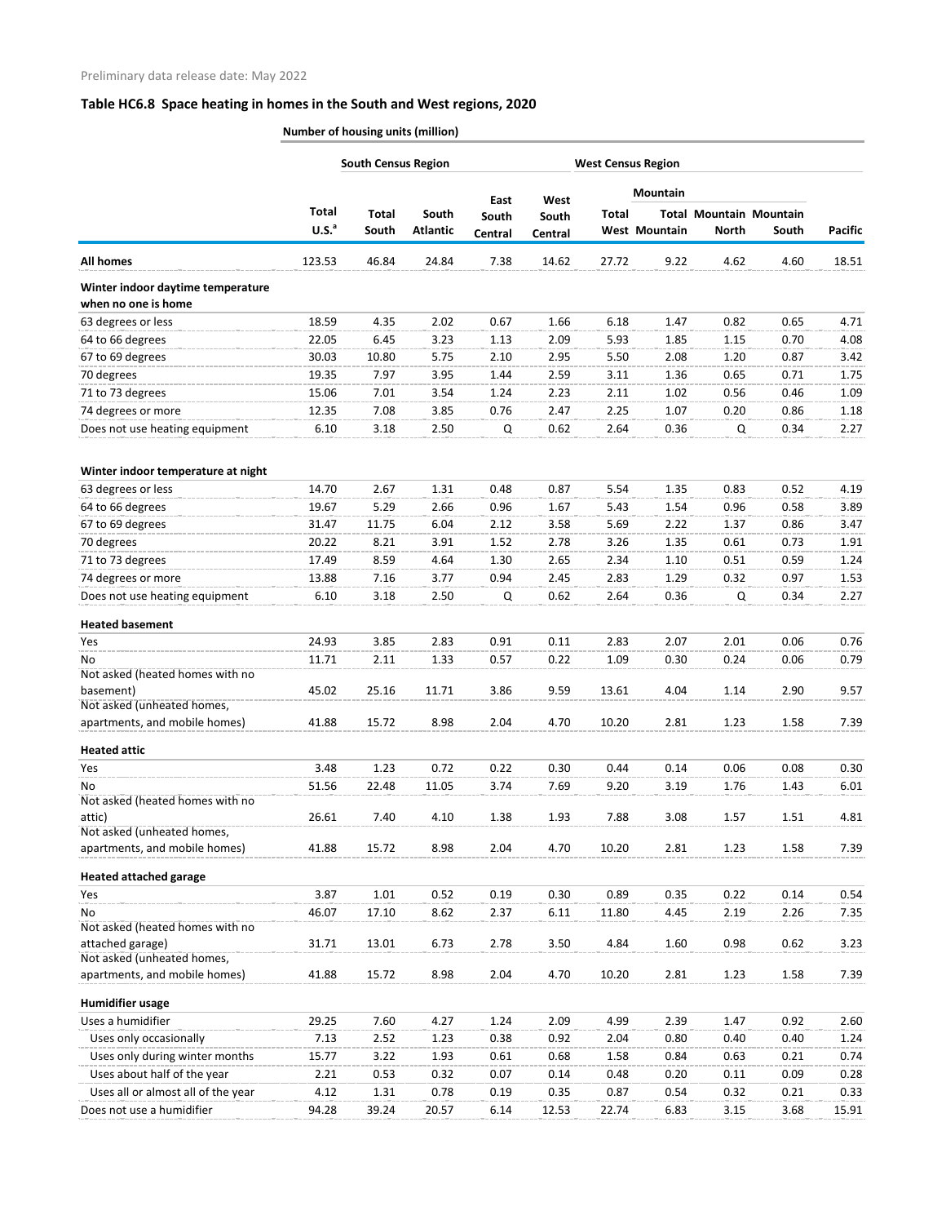|                                                          | <b>South Census Region</b> |                       |                          | <b>West Census Region</b> |                  |              |                 |                                                |              |                |
|----------------------------------------------------------|----------------------------|-----------------------|--------------------------|---------------------------|------------------|--------------|-----------------|------------------------------------------------|--------------|----------------|
|                                                          |                            |                       |                          | East                      | West             |              | <b>Mountain</b> |                                                |              |                |
|                                                          | Total<br>U.S. <sup>a</sup> | <b>Total</b><br>South | South<br><b>Atlantic</b> | South<br>Central          | South<br>Central | <b>Total</b> | West Mountain   | <b>Total Mountain Mountain</b><br><b>North</b> | South        | <b>Pacific</b> |
| <b>All homes</b>                                         | 123.53                     | 46.84                 | 24.84                    | 7.38                      | 14.62            | 27.72        | 9.22            | 4.62                                           | 4.60         | 18.51          |
| Winter indoor daytime temperature                        |                            |                       |                          |                           |                  |              |                 |                                                |              |                |
| when no one is home                                      |                            |                       |                          |                           |                  |              |                 |                                                |              |                |
| 63 degrees or less                                       | 18.59                      | 4.35                  | 2.02                     | 0.67                      | 1.66             | 6.18         | 1.47            | 0.82                                           | 0.65         | 4.71           |
| 64 to 66 degrees                                         | 22.05                      | 6.45                  | 3.23                     | 1.13                      | 2.09             | 5.93         | 1.85            | 1.15                                           | 0.70         | 4.08           |
| 67 to 69 degrees                                         | 30.03                      | 10.80                 | 5.75                     | 2.10                      | 2.95             | 5.50         | 2.08            | 1.20                                           | 0.87         | 3.42           |
| 70 degrees                                               | 19.35                      | 7.97                  | 3.95                     | 1.44                      | 2.59             | 3.11         | 1.36            | 0.65                                           | 0.71         | 1.75           |
| 71 to 73 degrees                                         | 15.06                      | 7.01                  | 3.54                     | 1.24                      | 2.23             | 2.11         | 1.02            | 0.56                                           | 0.46         | 1.09           |
| 74 degrees or more<br>Does not use heating equipment     | 12.35<br>6.10              | 7.08<br>3.18          | 3.85<br>2.50             | 0.76<br>Q                 | 2.47<br>0.62     | 2.25<br>2.64 | 1.07<br>0.36    | 0.20<br>Q                                      | 0.86<br>0.34 | 1.18<br>2.27   |
|                                                          |                            |                       |                          |                           |                  |              |                 |                                                |              |                |
| Winter indoor temperature at night<br>63 degrees or less | 14.70                      | 2.67                  | 1.31                     | 0.48                      | 0.87             | 5.54         | 1.35            | 0.83                                           | 0.52         | 4.19           |
| 64 to 66 degrees                                         | 19.67                      | 5.29                  | 2.66                     | 0.96                      | 1.67             | 5.43         | 1.54            | 0.96                                           | 0.58         | 3.89           |
| 67 to 69 degrees                                         | 31.47                      | 11.75                 | 6.04                     | 2.12                      | 3.58             | 5.69         | 2.22            | 1.37                                           | 0.86         | 3.47           |
| 70 degrees                                               | 20.22                      | 8.21                  | 3.91                     | 1.52                      | 2.78             | 3.26         | 1.35            | 0.61                                           | 0.73         | 1.91           |
| 71 to 73 degrees                                         | 17.49                      | 8.59                  | 4.64                     | 1.30                      | 2.65             | 2.34         | 1.10            | 0.51                                           | 0.59         | 1.24           |
| 74 degrees or more                                       | 13.88                      | 7.16                  | 3.77                     | 0.94                      | 2.45             | 2.83         | 1.29            | 0.32                                           | 0.97         | 1.53           |
| Does not use heating equipment                           | 6.10                       | 3.18                  | 2.50                     | Q                         | 0.62             | 2.64         | 0.36            | Q                                              | 0.34         | 2.27           |
| <b>Heated basement</b>                                   |                            |                       |                          |                           |                  |              |                 |                                                |              |                |
| Yes                                                      | 24.93                      | 3.85                  | 2.83                     | 0.91                      | 0.11             | 2.83         | 2.07            | 2.01                                           | 0.06         | 0.76           |
| No<br>Not asked (heated homes with no                    | 11.71                      | 2.11                  | 1.33                     | 0.57                      | 0.22             | 1.09         | 0.30            | 0.24                                           | 0.06         | 0.79           |
| basement)<br>Not asked (unheated homes,                  | 45.02                      | 25.16                 | 11.71                    | 3.86                      | 9.59             | 13.61        | 4.04            | 1.14                                           | 2.90         | 9.57           |
| apartments, and mobile homes)                            | 41.88                      | 15.72                 | 8.98                     | 2.04                      | 4.70             | 10.20        | 2.81            | 1.23                                           | 1.58         | 7.39           |
| <b>Heated attic</b>                                      |                            |                       |                          |                           |                  |              |                 |                                                |              |                |
| Yes                                                      | 3.48                       | 1.23                  | 0.72                     | 0.22                      | 0.30             | 0.44         | 0.14            | 0.06                                           | 0.08         | 0.30           |
| No<br>Not asked (heated homes with no                    | 51.56                      | 22.48                 | 11.05                    | 3.74                      | 7.69             | 9.20         | 3.19            | 1.76                                           | 1.43         | 6.01           |
| attic)<br>Not asked (unheated homes,                     | 26.61                      | 7.40                  | 4.10                     | 1.38                      | 1.93             | 7.88         | 3.08            | 1.57                                           | 1.51         | 4.81           |
| apartments, and mobile homes)                            | 41.88                      | 15.72                 | 8.98                     | 2.04                      | 4.70             | 10.20        | 2.81            | 1.23                                           | 1.58         | 7.39           |
| <b>Heated attached garage</b>                            |                            |                       |                          |                           |                  |              |                 |                                                |              |                |
| Yes                                                      | 3.87                       | 1.01                  | 0.52                     | 0.19                      | 0.30             | 0.89         | 0.35            | 0.22                                           | 0.14         | 0.54           |
| No                                                       | 46.07                      | 17.10                 | 8.62                     | 2.37                      | 6.11             | 11.80        | 4.45            | 2.19                                           | 2.26         | 7.35           |
| Not asked (heated homes with no<br>attached garage)      | 31.71                      | 13.01                 | 6.73                     | 2.78                      | 3.50             | 4.84         | 1.60            | 0.98                                           | 0.62         | 3.23           |
| Not asked (unheated homes,                               |                            |                       |                          |                           |                  |              |                 |                                                |              |                |
| apartments, and mobile homes)                            | 41.88                      | 15.72                 | 8.98                     | 2.04                      | 4.70             | 10.20        | 2.81            | 1.23                                           | 1.58         | 7.39           |
| <b>Humidifier usage</b>                                  |                            |                       |                          |                           |                  |              |                 |                                                |              |                |
| Uses a humidifier                                        | 29.25                      | 7.60                  | 4.27                     | 1.24                      | 2.09             | 4.99         | 2.39            | 1.47                                           | 0.92         | 2.60           |
| Uses only occasionally                                   | 7.13                       | 2.52                  | 1.23                     | 0.38                      | 0.92             | 2.04         | 0.80            | 0.40                                           | 0.40         | 1.24           |
| Uses only during winter months                           | 15.77                      | 3.22                  | 1.93                     | 0.61                      | 0.68             | 1.58         | 0.84            | 0.63                                           | 0.21         | 0.74           |
| Uses about half of the year                              | 2.21                       | 0.53                  | 0.32                     | 0.07                      | 0.14             | 0.48         | 0.20            | 0.11                                           | 0.09         | 0.28           |
| Uses all or almost all of the year                       | 4.12                       | 1.31                  | 0.78                     | 0.19                      | 0.35             | 0.87         | 0.54            | 0.32                                           | 0.21         | 0.33           |
| Does not use a humidifier                                | 94.28                      | 39.24                 | 20.57                    | 6.14                      | 12.53            | 22.74        | 6.83            | 3.15                                           | 3.68         | 15.91          |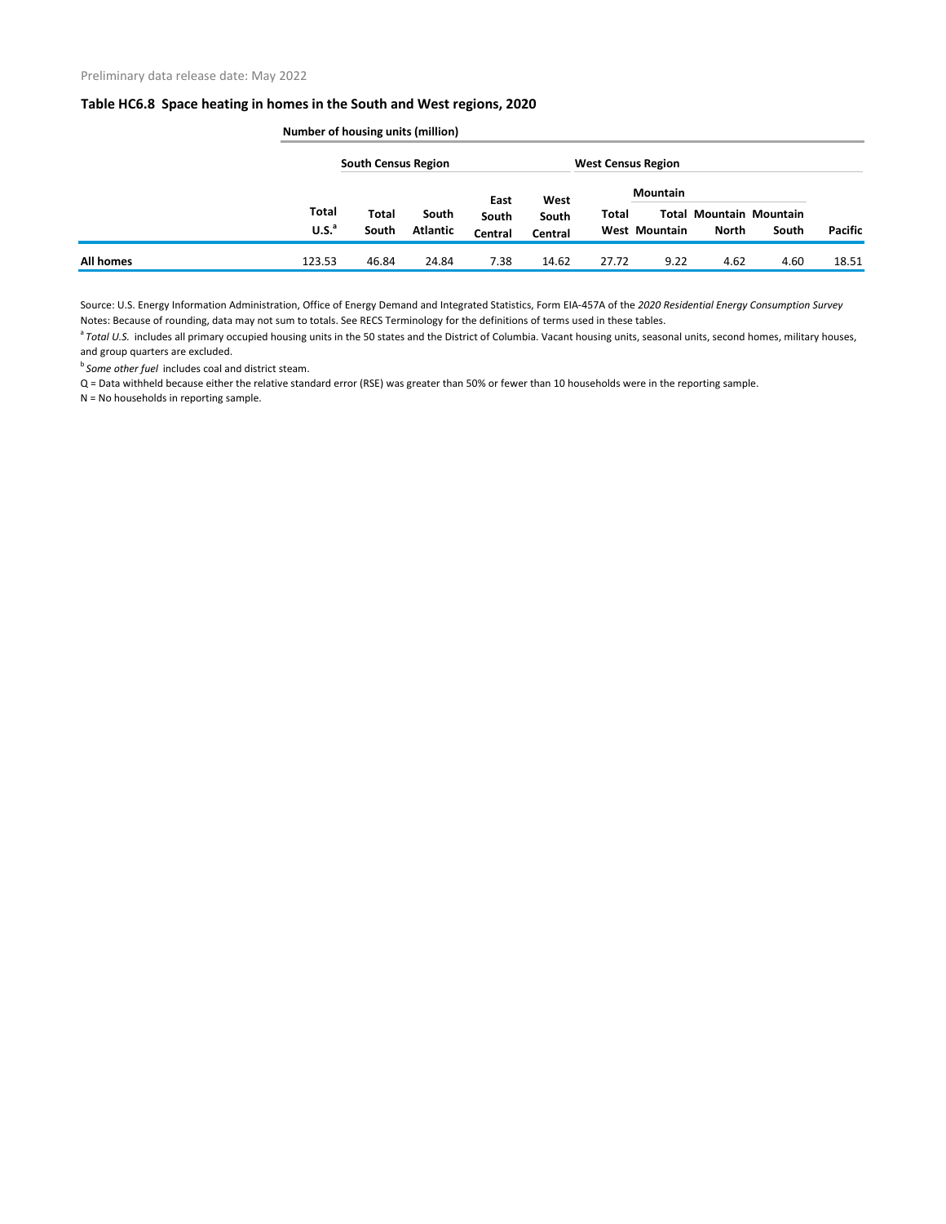|           | Number of housing units (million) |                            |                          |         |         |                           |                      |                                         |       |         |  |
|-----------|-----------------------------------|----------------------------|--------------------------|---------|---------|---------------------------|----------------------|-----------------------------------------|-------|---------|--|
|           |                                   | <b>South Census Region</b> |                          |         |         | <b>West Census Region</b> |                      |                                         |       |         |  |
|           |                                   |                            |                          | East    | West    |                           | <b>Mountain</b>      |                                         |       |         |  |
|           | <b>Total</b><br>U.S. <sup>a</sup> | <b>Total</b><br>South      | South<br><b>Atlantic</b> | South   | South   | Total                     | <b>West Mountain</b> | <b>Total Mountain Mountain</b><br>North | South | Pacific |  |
|           |                                   |                            |                          | Central | Central |                           |                      |                                         |       |         |  |
| All homes | 123.53                            | 46.84                      | 24.84                    | 7.38    | 14.62   | 27.72                     | 9.22                 | 4.62                                    | 4.60  | 18.51   |  |

Source: U.S. Energy Information Administration, Office of Energy Demand and Integrated Statistics, Form EIA-457A of the *2020 Residential Energy Consumption Survey* Notes: Because of rounding, data may not sum to totals. See RECS Terminology for the definitions of terms used in these tables.

<sup>a</sup> Total U.S. includes all primary occupied housing units in the 50 states and the District of Columbia. Vacant housing units, seasonal units, second homes, military houses, and group quarters are excluded.

**b** Some other fuel includes coal and district steam.

Q = Data withheld because either the relative standard error (RSE) was greater than 50% or fewer than 10 households were in the reporting sample.

N = No households in reporting sample.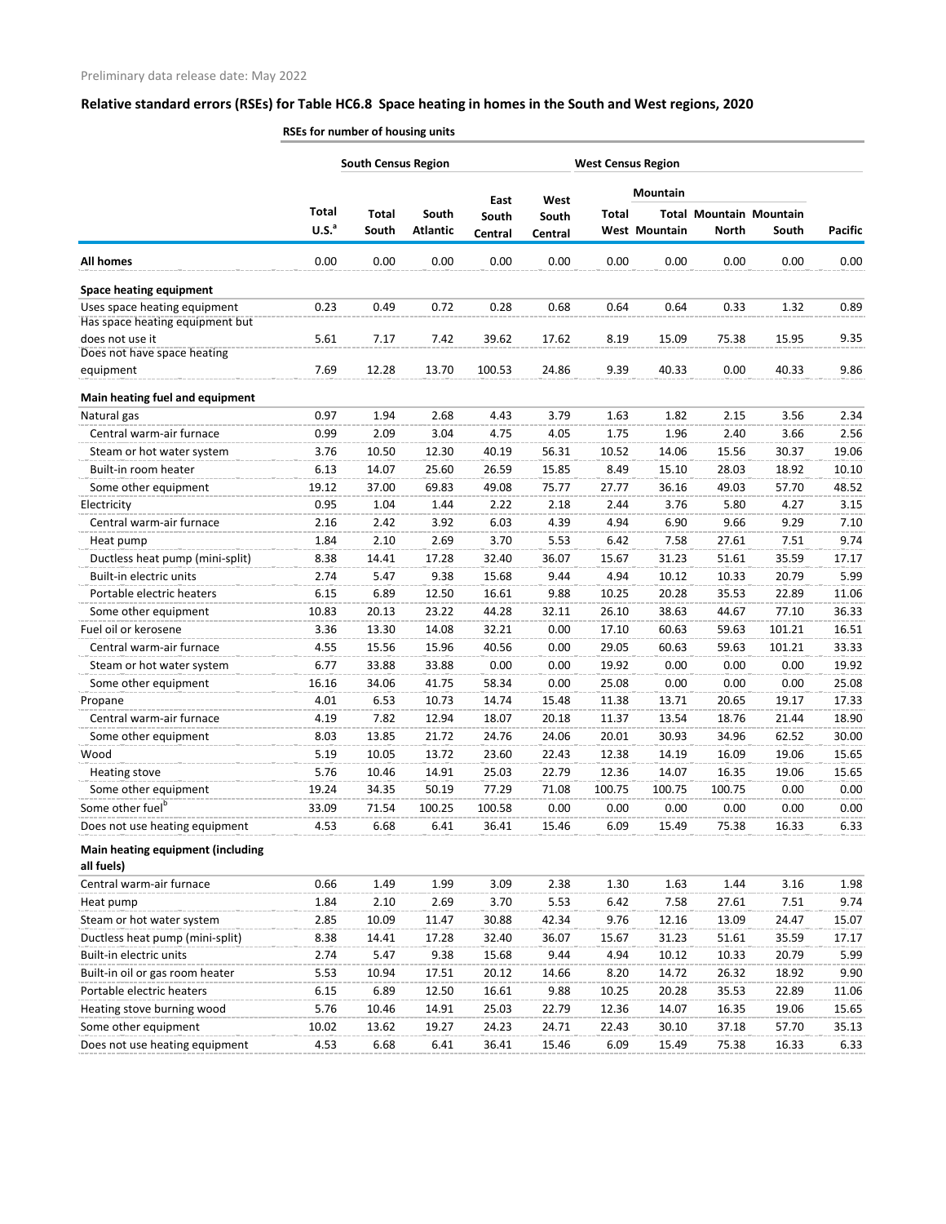|                                                 | <b>South Census Region</b> |              |                 |                  |                  | <b>West Census Region</b> |                 |              |                                |                |
|-------------------------------------------------|----------------------------|--------------|-----------------|------------------|------------------|---------------------------|-----------------|--------------|--------------------------------|----------------|
|                                                 |                            |              |                 |                  |                  |                           | <b>Mountain</b> |              |                                |                |
|                                                 | <b>Total</b>               | <b>Total</b> | South           | East             | West             | <b>Total</b>              |                 |              | <b>Total Mountain Mountain</b> |                |
|                                                 | U.S. <sup>a</sup>          | South        | <b>Atlantic</b> | South<br>Central | South<br>Central |                           | West Mountain   | <b>North</b> | South                          | <b>Pacific</b> |
| All homes                                       | 0.00                       | 0.00         | 0.00            | 0.00             | 0.00             | 0.00                      | 0.00            | 0.00         | 0.00                           | 0.00           |
| <b>Space heating equipment</b>                  |                            |              |                 |                  |                  |                           |                 |              |                                |                |
| Uses space heating equipment                    | 0.23                       | 0.49         | 0.72            | 0.28             | 0.68             | 0.64                      | 0.64            | 0.33         | 1.32                           | 0.89           |
| Has space heating equipment but                 |                            |              |                 |                  |                  |                           |                 |              |                                |                |
| does not use it                                 | 5.61                       | 7.17         | 7.42            | 39.62            | 17.62            | 8.19                      | 15.09           | 75.38        | 15.95                          | 9.35           |
| Does not have space heating                     |                            |              |                 |                  |                  |                           |                 |              |                                |                |
| equipment                                       | 7.69                       | 12.28        | 13.70           | 100.53           | 24.86            | 9.39                      | 40.33           | 0.00         | 40.33                          | 9.86           |
| Main heating fuel and equipment                 |                            |              |                 |                  |                  |                           |                 |              |                                |                |
| Natural gas                                     | 0.97                       | 1.94         | 2.68            | 4.43             | 3.79             | 1.63                      | 1.82            | 2.15         | 3.56                           | 2.34           |
| Central warm-air furnace                        | 0.99                       | 2.09         | 3.04            | 4.75             | 4.05             | 1.75                      | 1.96            | 2.40         | 3.66                           | 2.56           |
| Steam or hot water system                       | 3.76                       | 10.50        | 12.30           | 40.19            | 56.31            | 10.52                     | 14.06           | 15.56        | 30.37                          | 19.06          |
| Built-in room heater                            | 6.13                       | 14.07        | 25.60           | 26.59            | 15.85            | 8.49                      | 15.10           | 28.03        | 18.92                          | 10.10          |
| Some other equipment                            | 19.12                      | 37.00        | 69.83           | 49.08            | 75.77            | 27.77                     | 36.16           | 49.03        | 57.70                          | 48.52          |
| Electricity                                     | 0.95                       | 1.04         | 1.44            | 2.22             | 2.18             | 2.44                      | 3.76            | 5.80         | 4.27                           | 3.15           |
| Central warm-air furnace                        | 2.16                       | 2.42         | 3.92            | 6.03             | 4.39             | 4.94                      | 6.90            | 9.66         | 9.29                           | 7.10           |
| Heat pump                                       | 1.84                       | 2.10         | 2.69            | 3.70             | 5.53             | 6.42                      | 7.58            | 27.61        | 7.51                           | 9.74           |
| Ductless heat pump (mini-split)                 | 8.38                       | 14.41        | 17.28           | 32.40            | 36.07            | 15.67                     | 31.23           | 51.61        | 35.59                          | 17.17          |
| Built-in electric units                         | 2.74                       | 5.47         | 9.38            | 15.68            | 9.44             | 4.94                      | 10.12           | 10.33        | 20.79                          | 5.99           |
| Portable electric heaters                       | 6.15                       | 6.89         | 12.50           | 16.61            | 9.88             | 10.25                     | 20.28           | 35.53        | 22.89                          | 11.06          |
| Some other equipment                            | 10.83                      | 20.13        | 23.22           | 44.28            | 32.11            | 26.10                     | 38.63           | 44.67        | 77.10                          | 36.33          |
| Fuel oil or kerosene                            | 3.36                       | 13.30        | 14.08           | 32.21            | 0.00             | 17.10                     | 60.63           | 59.63        | 101.21                         | 16.51          |
| Central warm-air furnace                        | 4.55                       | 15.56        | 15.96           | 40.56            | 0.00             | 29.05                     | 60.63           | 59.63        | 101.21                         | 33.33          |
| Steam or hot water system                       | 6.77                       | 33.88        | 33.88           | 0.00             | 0.00             | 19.92                     | 0.00            | 0.00         | 0.00                           | 19.92          |
| Some other equipment                            | 16.16                      | 34.06        | 41.75           | 58.34            | 0.00             | 25.08                     | 0.00            | 0.00         | 0.00                           | 25.08          |
| Propane                                         | 4.01                       | 6.53         | 10.73           | 14.74            | 15.48            | 11.38                     | 13.71           | 20.65        | 19.17                          | 17.33          |
| Central warm-air furnace                        | 4.19                       | 7.82         | 12.94           | 18.07            | 20.18            | 11.37                     | 13.54           | 18.76        | 21.44                          | 18.90          |
| Some other equipment                            | 8.03                       | 13.85        | 21.72           | 24.76            | 24.06            | 20.01                     | 30.93           | 34.96        | 62.52                          | 30.00          |
| Wood                                            | 5.19                       | 10.05        | 13.72           | 23.60            | 22.43            | 12.38                     | 14.19           | 16.09        | 19.06                          | 15.65          |
| Heating stove                                   | 5.76                       | 10.46        | 14.91           | 25.03            | 22.79            | 12.36                     | 14.07           | 16.35        | 19.06                          | 15.65          |
| Some other equipment                            | 19.24                      | 34.35        | 50.19           | 77.29            | 71.08            | 100.75                    | 100.75          | 100.75       | 0.00                           | 0.00           |
| Some other fuel <sup>b</sup>                    | 33.09                      | 71.54        | 100.25          | 100.58           | 0.00             | 0.00                      | 0.00            | 0.00         | 0.00                           | 0.00           |
| Does not use heating equipment                  | 4.53                       | 6.68         | 6.41            | 36.41            | 15.46            | 6.09                      | 15.49           | 75.38        | 16.33                          | 6.33           |
| Main heating equipment (including<br>all fuels) |                            |              |                 |                  |                  |                           |                 |              |                                |                |
| Central warm-air furnace                        | 0.66                       | 1.49         | 1.99            | 3.09             | 2.38             | 1.30                      | 1.63            | 1.44         | 3.16                           | 1.98           |
| Heat pump                                       | 1.84                       | 2.10         | 2.69            | 3.70             | 5.53             | 6.42                      | 7.58            | 27.61        | 7.51                           | 9.74           |
| Steam or hot water system                       | 2.85                       | 10.09        | 11.47           | 30.88            | 42.34            | 9.76                      | 12.16           | 13.09        | 24.47                          | 15.07          |
| Ductless heat pump (mini-split)                 | 8.38                       | 14.41        | 17.28           | 32.40            | 36.07            | 15.67                     | 31.23           | 51.61        | 35.59                          | 17.17          |
| Built-in electric units                         | 2.74                       | 5.47         | 9.38            | 15.68            | 9.44             | 4.94                      | 10.12           | 10.33        | 20.79                          | 5.99           |
| Built-in oil or gas room heater                 | 5.53                       | 10.94        | 17.51           | 20.12            | 14.66            | 8.20                      | 14.72           | 26.32        | 18.92                          | 9.90           |
| Portable electric heaters                       | 6.15                       | 6.89         | 12.50           | 16.61            | 9.88             | 10.25                     | 20.28           | 35.53        | 22.89                          | 11.06          |
| Heating stove burning wood                      | 5.76                       | 10.46        | 14.91           | 25.03            | 22.79            | 12.36                     | 14.07           | 16.35        | 19.06                          | 15.65          |
| Some other equipment                            | 10.02                      | 13.62        | 19.27           | 24.23            | 24.71            | 22.43                     | 30.10           | 37.18        | 57.70                          | 35.13          |
| Does not use heating equipment                  | 4.53                       | 6.68         | 6.41            | 36.41            | 15.46            | 6.09                      | 15.49           | 75.38        | 16.33                          | 6.33           |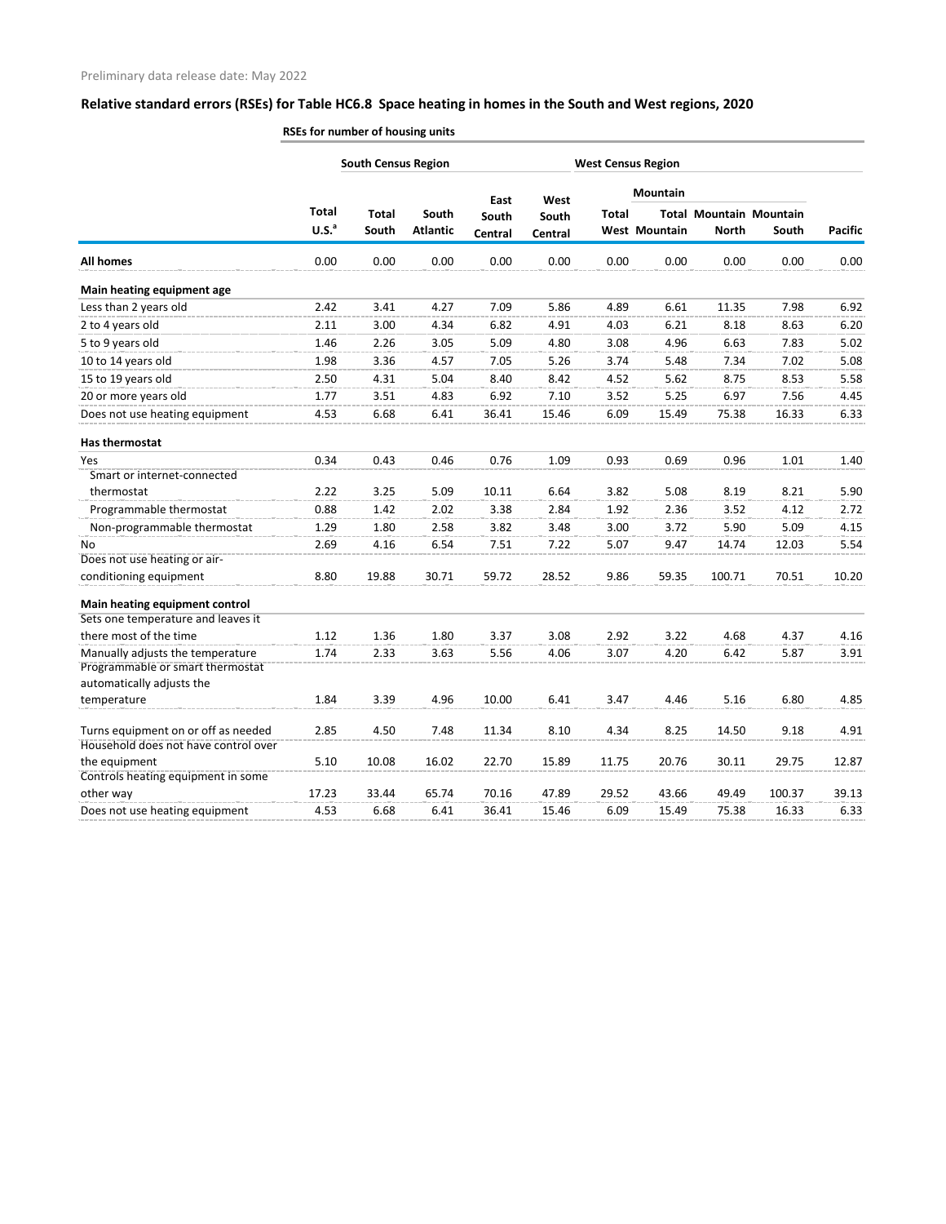|                                                                      |                   | <b>South Census Region</b> |                 |         |         |              | <b>West Census Region</b> |              |                                |                |
|----------------------------------------------------------------------|-------------------|----------------------------|-----------------|---------|---------|--------------|---------------------------|--------------|--------------------------------|----------------|
|                                                                      |                   |                            |                 | East    | West    |              | <b>Mountain</b>           |              |                                |                |
|                                                                      | <b>Total</b>      | <b>Total</b>               | South           | South   | South   | <b>Total</b> |                           |              | <b>Total Mountain Mountain</b> |                |
|                                                                      | U.S. <sup>a</sup> | South                      | <b>Atlantic</b> | Central | Central |              | <b>West Mountain</b>      | <b>North</b> | South                          | <b>Pacific</b> |
| <b>All homes</b>                                                     | 0.00              | 0.00                       | 0.00            | 0.00    | 0.00    | 0.00         | 0.00                      | 0.00         | 0.00                           | 0.00           |
| Main heating equipment age                                           |                   |                            |                 |         |         |              |                           |              |                                |                |
| Less than 2 years old                                                | 2.42              | 3.41                       | 4.27            | 7.09    | 5.86    | 4.89         | 6.61                      | 11.35        | 7.98                           | 6.92           |
| 2 to 4 years old                                                     | 2.11              | 3.00                       | 4.34            | 6.82    | 4.91    | 4.03         | 6.21                      | 8.18         | 8.63                           | 6.20           |
| 5 to 9 years old                                                     | 1.46              | 2.26                       | 3.05            | 5.09    | 4.80    | 3.08         | 4.96                      | 6.63         | 7.83                           | 5.02           |
| 10 to 14 years old                                                   | 1.98              | 3.36                       | 4.57            | 7.05    | 5.26    | 3.74         | 5.48                      | 7.34         | 7.02                           | 5.08           |
| 15 to 19 years old                                                   | 2.50              | 4.31                       | 5.04            | 8.40    | 8.42    | 4.52         | 5.62                      | 8.75         | 8.53                           | 5.58           |
| 20 or more years old                                                 | 1.77              | 3.51                       | 4.83            | 6.92    | 7.10    | 3.52         | 5.25                      | 6.97         | 7.56                           | 4.45           |
| Does not use heating equipment                                       | 4.53              | 6.68                       | 6.41            | 36.41   | 15.46   | 6.09         | 15.49                     | 75.38        | 16.33                          | 6.33           |
| Has thermostat                                                       |                   |                            |                 |         |         |              |                           |              |                                |                |
| Yes                                                                  | 0.34              | 0.43                       | 0.46            | 0.76    | 1.09    | 0.93         | 0.69                      | 0.96         | 1.01                           | 1.40           |
| Smart or internet-connected                                          |                   |                            |                 |         |         |              |                           |              |                                |                |
| thermostat                                                           | 2.22              | 3.25                       | 5.09            | 10.11   | 6.64    | 3.82         | 5.08                      | 8.19         | 8.21                           | 5.90           |
| Programmable thermostat                                              | 0.88              | 1.42                       | 2.02            | 3.38    | 2.84    | 1.92         | 2.36                      | 3.52         | 4.12                           | 2.72           |
| Non-programmable thermostat                                          | 1.29              | 1.80                       | 2.58            | 3.82    | 3.48    | 3.00         | 3.72                      | 5.90         | 5.09                           | 4.15           |
| No                                                                   | 2.69              | 4.16                       | 6.54            | 7.51    | 7.22    | 5.07         | 9.47                      | 14.74        | 12.03                          | 5.54           |
| Does not use heating or air-                                         |                   |                            |                 |         |         |              |                           |              |                                |                |
| conditioning equipment                                               | 8.80              | 19.88                      | 30.71           | 59.72   | 28.52   | 9.86         | 59.35                     | 100.71       | 70.51                          | 10.20          |
| Main heating equipment control                                       |                   |                            |                 |         |         |              |                           |              |                                |                |
| Sets one temperature and leaves it                                   |                   |                            |                 |         |         |              |                           |              |                                |                |
| there most of the time                                               | 1.12              | 1.36                       | 1.80            | 3.37    | 3.08    | 2.92         | 3.22                      | 4.68         | 4.37                           | 4.16           |
| Manually adjusts the temperature<br>Programmable or smart thermostat | 1.74              | 2.33                       | 3.63            | 5.56    | 4.06    | 3.07         | 4.20                      | 6.42         | 5.87                           | 3.91           |
| automatically adjusts the                                            |                   |                            |                 |         |         |              |                           |              |                                |                |
| temperature                                                          | 1.84              | 3.39                       | 4.96            | 10.00   | 6.41    | 3.47         | 4.46                      | 5.16         | 6.80                           | 4.85           |
| Turns equipment on or off as needed                                  | 2.85              | 4.50                       | 7.48            | 11.34   | 8.10    | 4.34         | 8.25                      | 14.50        | 9.18                           | 4.91           |
| Household does not have control over                                 |                   |                            |                 |         |         |              |                           |              |                                |                |
| the equipment                                                        | 5.10              | 10.08                      | 16.02           | 22.70   | 15.89   | 11.75        | 20.76                     | 30.11        | 29.75                          | 12.87          |
| Controls heating equipment in some                                   |                   |                            |                 |         |         |              |                           |              |                                |                |
| other way                                                            | 17.23             | 33.44                      | 65.74           | 70.16   | 47.89   | 29.52        | 43.66                     | 49.49        | 100.37                         | 39.13          |
| Does not use heating equipment                                       | 4.53              | 6.68                       | 6.41            | 36.41   | 15.46   | 6.09         | 15.49                     | 75.38        | 16.33                          | 6.33           |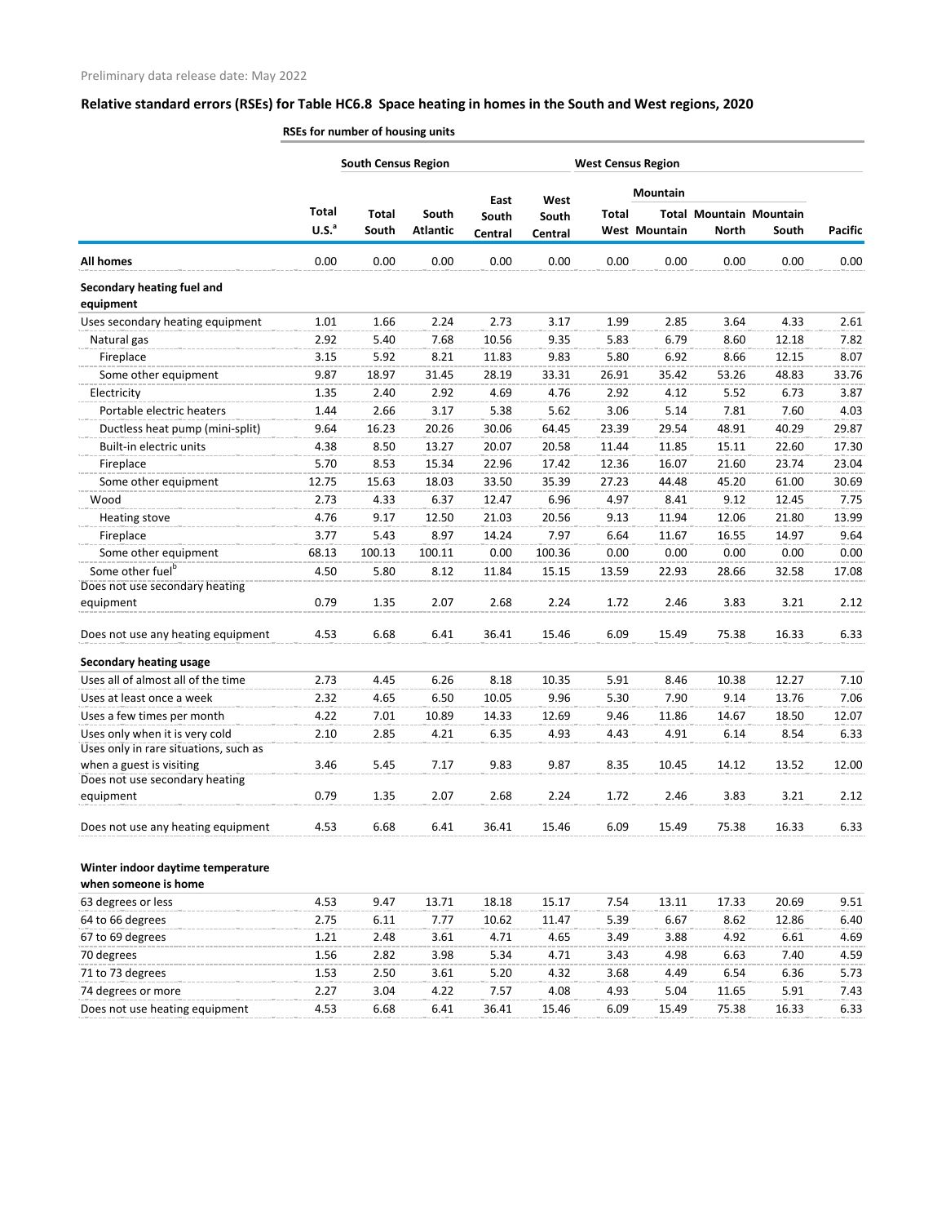| <b>All homes</b>                      | <b>Total</b><br>U.S. <sup>a</sup><br>0.00 | <b>Total</b><br>South | South           | East           | West    |              | <b>Mountain</b>      |              |                                |                |
|---------------------------------------|-------------------------------------------|-----------------------|-----------------|----------------|---------|--------------|----------------------|--------------|--------------------------------|----------------|
|                                       |                                           |                       |                 |                |         |              |                      |              |                                |                |
|                                       |                                           |                       |                 | South          | South   | <b>Total</b> |                      |              | <b>Total Mountain Mountain</b> |                |
|                                       |                                           |                       | <b>Atlantic</b> | <b>Central</b> | Central |              | <b>West Mountain</b> | <b>North</b> | South                          | <b>Pacific</b> |
|                                       |                                           | 0.00                  | 0.00            | 0.00           | 0.00    | 0.00         | 0.00                 | 0.00         | 0.00                           | 0.00           |
| Secondary heating fuel and            |                                           |                       |                 |                |         |              |                      |              |                                |                |
| equipment                             |                                           |                       |                 |                |         |              |                      |              |                                |                |
| Uses secondary heating equipment      | 1.01                                      | 1.66                  | 2.24            | 2.73           | 3.17    | 1.99         | 2.85                 | 3.64         | 4.33                           | 2.61           |
| Natural gas                           | 2.92                                      | 5.40                  | 7.68            | 10.56          | 9.35    | 5.83         | 6.79                 | 8.60         | 12.18                          | 7.82           |
| Fireplace                             | 3.15                                      | 5.92                  | 8.21            | 11.83          | 9.83    | 5.80         | 6.92                 | 8.66         | 12.15                          | 8.07           |
| Some other equipment                  | 9.87                                      | 18.97                 | 31.45           | 28.19          | 33.31   | 26.91        | 35.42                | 53.26        | 48.83                          | 33.76          |
| Electricity                           | 1.35                                      | 2.40                  | 2.92            | 4.69           | 4.76    | 2.92         | 4.12                 | 5.52         | 6.73                           | 3.87           |
| Portable electric heaters             | 1.44                                      | 2.66                  | 3.17            | 5.38           | 5.62    | 3.06         | 5.14                 | 7.81         | 7.60                           | 4.03           |
| Ductless heat pump (mini-split)       | 9.64                                      | 16.23                 | 20.26           | 30.06          | 64.45   | 23.39        | 29.54                | 48.91        | 40.29                          | 29.87          |
| Built-in electric units               | 4.38                                      | 8.50                  | 13.27           | 20.07          | 20.58   | 11.44        | 11.85                | 15.11        | 22.60                          | 17.30          |
| Fireplace                             | 5.70                                      | 8.53                  | 15.34           | 22.96          | 17.42   | 12.36        | 16.07                | 21.60        | 23.74                          | 23.04          |
| Some other equipment                  | 12.75                                     | 15.63                 | 18.03           | 33.50          | 35.39   | 27.23        | 44.48                | 45.20        | 61.00                          | 30.69          |
| Wood                                  | 2.73                                      | 4.33                  | 6.37            | 12.47          | 6.96    | 4.97         | 8.41                 | 9.12         | 12.45                          | 7.75           |
| <b>Heating stove</b>                  | 4.76                                      | 9.17                  | 12.50           | 21.03          | 20.56   | 9.13         | 11.94                | 12.06        | 21.80                          | 13.99          |
| Fireplace                             | 3.77                                      | 5.43                  | 8.97            | 14.24          | 7.97    | 6.64         | 11.67                | 16.55        | 14.97                          | 9.64           |
| Some other equipment                  | 68.13                                     | 100.13                | 100.11          | 0.00           | 100.36  | 0.00         | 0.00                 | 0.00         | 0.00                           | 0.00           |
| Some other fuel <sup>b</sup>          | 4.50                                      | 5.80                  | 8.12            | 11.84          | 15.15   | 13.59        | 22.93                | 28.66        | 32.58                          | 17.08          |
| Does not use secondary heating        |                                           |                       |                 |                |         |              |                      |              |                                |                |
| equipment                             | 0.79                                      | 1.35                  | 2.07            | 2.68           | 2.24    | 1.72         | 2.46                 | 3.83         | 3.21                           | 2.12           |
| Does not use any heating equipment    | 4.53                                      | 6.68                  | 6.41            | 36.41          | 15.46   | 6.09         | 15.49                | 75.38        | 16.33                          | 6.33           |
| <b>Secondary heating usage</b>        |                                           |                       |                 |                |         |              |                      |              |                                |                |
| Uses all of almost all of the time    | 2.73                                      | 4.45                  | 6.26            | 8.18           | 10.35   | 5.91         | 8.46                 | 10.38        | 12.27                          | 7.10           |
| Uses at least once a week             | 2.32                                      | 4.65                  | 6.50            | 10.05          | 9.96    | 5.30         | 7.90                 | 9.14         | 13.76                          | 7.06           |
| Uses a few times per month            | 4.22                                      | 7.01                  | 10.89           | 14.33          | 12.69   | 9.46         | 11.86                | 14.67        | 18.50                          | 12.07          |
| Uses only when it is very cold        | 2.10                                      | 2.85                  | 4.21            | 6.35           | 4.93    | 4.43         | 4.91                 | 6.14         | 8.54                           | 6.33           |
| Uses only in rare situations, such as |                                           |                       |                 |                |         |              |                      |              |                                |                |
| when a guest is visiting              | 3.46                                      | 5.45                  | 7.17            | 9.83           | 9.87    | 8.35         | 10.45                | 14.12        | 13.52                          | 12.00          |
| Does not use secondary heating        |                                           |                       |                 |                |         |              |                      |              |                                |                |
| equipment                             | 0.79                                      | 1.35                  | 2.07            | 2.68           | 2.24    | 1.72         | 2.46                 | 3.83         | 3.21                           | 2.12           |
| Does not use any heating equipment    | 4.53                                      | 6.68                  | 6.41            | 36.41          | 15.46   | 6.09         | 15.49                | 75.38        | 16.33                          | 6.33           |
| Winter indoor daytime temperature     |                                           |                       |                 |                |         |              |                      |              |                                |                |
| when someone is home                  |                                           |                       |                 |                |         |              |                      |              |                                |                |
| 63 degrees or less                    | 4.53                                      | 9.47                  | 13.71           | 18.18          | 15.17   | 7.54         | 13.11                | 17.33        | 20.69                          | 9.51           |
| 64 to 66 degrees                      | 2.75                                      | 6.11                  | 7.77            | 10.62          | 11.47   | 5.39         | 6.67                 | 8.62         | 12.86                          | 6.40           |
| 67 to 69 degrees                      | 1.21                                      | 2.48                  | 3.61            | 4.71           | 4.65    | 3.49         | 3.88                 | 4.92         | 6.61                           | 4.69           |
| 70 degrees                            | 1.56                                      | 2.82                  | 3.98            | 5.34           | 4.71    | 3.43         | 4.98                 | 6.63         | 7.40                           | 4.59           |
| 71 to 73 degrees                      | 1.53                                      | 2.50                  | 3.61            | 5.20           | 4.32    | 3.68         | 4.49                 | 6.54         | 6.36                           | 5.73           |
| 74 degrees or more                    | 2.27                                      | 3.04                  | 4.22            | 7.57           | 4.08    | 4.93         | 5.04                 | 11.65        | 5.91                           | 7.43           |
| Does not use heating equipment        | 4.53                                      | 6.68                  | 6.41            | 36.41          | 15.46   | 6.09         | 15.49                | 75.38        | 16.33                          | 6.33           |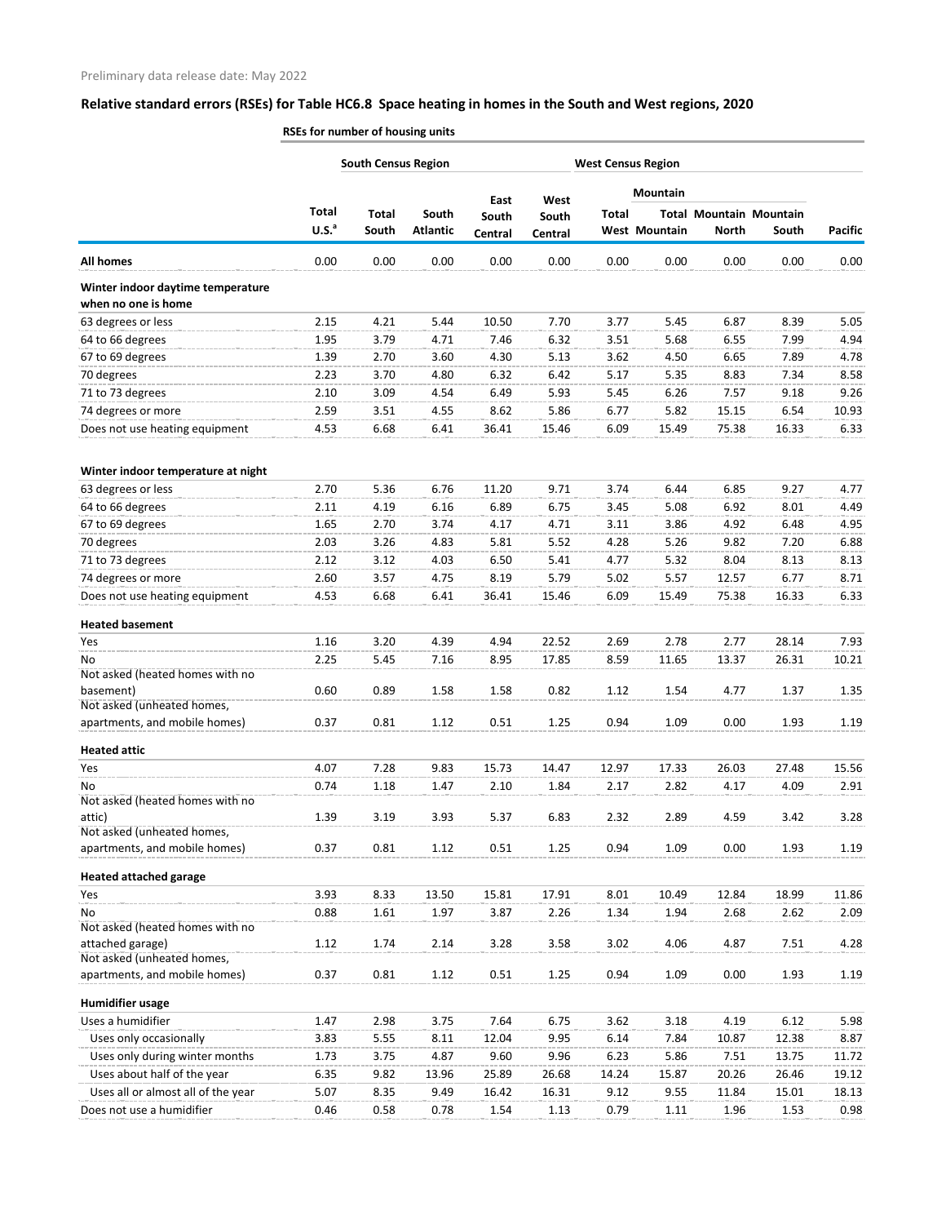|                                                          |                                   | <b>South Census Region</b> |                          |                  |                  |              | <b>West Census Region</b> |              |                                         |                |
|----------------------------------------------------------|-----------------------------------|----------------------------|--------------------------|------------------|------------------|--------------|---------------------------|--------------|-----------------------------------------|----------------|
|                                                          |                                   |                            |                          | East             | West             |              | <b>Mountain</b>           |              |                                         |                |
|                                                          | <b>Total</b><br>U.S. <sup>a</sup> | <b>Total</b><br>South      | South<br><b>Atlantic</b> | South<br>Central | South<br>Central | <b>Total</b> | <b>West Mountain</b>      | <b>North</b> | <b>Total Mountain Mountain</b><br>South | <b>Pacific</b> |
| <b>All homes</b>                                         | 0.00                              | 0.00                       | 0.00                     | 0.00             | 0.00             | 0.00         | 0.00                      | 0.00         | 0.00                                    | 0.00           |
| Winter indoor daytime temperature<br>when no one is home |                                   |                            |                          |                  |                  |              |                           |              |                                         |                |
| 63 degrees or less                                       | 2.15                              | 4.21                       | 5.44                     | 10.50            | 7.70             | 3.77         | 5.45                      | 6.87         | 8.39                                    | 5.05           |
| 64 to 66 degrees                                         | 1.95                              | 3.79                       | 4.71                     | 7.46             | 6.32             | 3.51         | 5.68                      | 6.55         | 7.99                                    | 4.94           |
| 67 to 69 degrees                                         | 1.39                              | 2.70                       | 3.60                     | 4.30             | 5.13             | 3.62         | 4.50                      | 6.65         | 7.89                                    | 4.78           |
| 70 degrees                                               | 2.23                              | 3.70                       | 4.80                     | 6.32             | 6.42             | 5.17         | 5.35                      | 8.83         | 7.34                                    | 8.58           |
| 71 to 73 degrees                                         | 2.10                              | 3.09                       | 4.54                     | 6.49             | 5.93             | 5.45         | 6.26                      | 7.57         | 9.18                                    | 9.26           |
| 74 degrees or more                                       | 2.59                              | 3.51                       | 4.55                     | 8.62             | 5.86             | 6.77         | 5.82                      | 15.15        | 6.54                                    | 10.93          |
| Does not use heating equipment                           | 4.53                              | 6.68                       | 6.41                     | 36.41            | 15.46            | 6.09         | 15.49                     | 75.38        | 16.33                                   | 6.33           |
| Winter indoor temperature at night                       |                                   |                            |                          |                  |                  |              |                           |              |                                         |                |
| 63 degrees or less                                       | 2.70                              | 5.36                       | 6.76                     | 11.20            | 9.71             | 3.74         | 6.44                      | 6.85         | 9.27                                    | 4.77           |
| 64 to 66 degrees                                         | 2.11                              | 4.19                       | 6.16                     | 6.89             | 6.75             | 3.45         | 5.08                      | 6.92         | 8.01                                    | 4.49           |
| 67 to 69 degrees                                         | 1.65                              | 2.70                       | 3.74                     | 4.17             | 4.71             | 3.11         | 3.86                      | 4.92         | 6.48                                    | 4.95           |
| 70 degrees                                               | 2.03                              | 3.26                       | 4.83                     | 5.81             | 5.52             | 4.28         | 5.26                      | 9.82         | 7.20                                    | 6.88           |
| 71 to 73 degrees                                         | 2.12                              | 3.12                       | 4.03                     | 6.50             | 5.41             | 4.77         | 5.32                      | 8.04         | 8.13                                    | 8.13           |
| 74 degrees or more                                       | 2.60                              | 3.57                       | 4.75                     | 8.19             | 5.79             | 5.02         | 5.57                      | 12.57        | 6.77                                    | 8.71           |
| Does not use heating equipment                           | 4.53                              | 6.68                       | 6.41                     | 36.41            | 15.46            | 6.09         | 15.49                     | 75.38        | 16.33                                   | 6.33           |
| <b>Heated basement</b>                                   |                                   |                            |                          |                  |                  |              |                           |              |                                         |                |
| Yes                                                      | 1.16                              | 3.20                       | 4.39                     | 4.94             | 22.52            | 2.69         | 2.78                      | 2.77         | 28.14                                   | 7.93           |
| No<br>Not asked (heated homes with no                    | 2.25                              | 5.45                       | 7.16                     | 8.95             | 17.85            | 8.59         | 11.65                     | 13.37        | 26.31                                   | 10.21          |
| basement)<br>Not asked (unheated homes,                  | 0.60                              | 0.89                       | 1.58                     | 1.58             | 0.82             | 1.12         | 1.54                      | 4.77         | 1.37                                    | 1.35           |
| apartments, and mobile homes)                            | 0.37                              | 0.81                       | 1.12                     | 0.51             | 1.25             | 0.94         | 1.09                      | 0.00         | 1.93                                    | 1.19           |
| <b>Heated attic</b>                                      |                                   |                            |                          |                  |                  |              |                           |              |                                         |                |
| Yes                                                      | 4.07                              | 7.28                       | 9.83                     | 15.73            | 14.47            | 12.97        | 17.33                     | 26.03        | 27.48                                   | 15.56          |
| No                                                       | 0.74                              | 1.18                       | 1.47                     | 2.10             | 1.84             | 2.17         | 2.82                      | 4.17         | 4.09                                    | 2.91           |
| Not asked (heated homes with no                          |                                   |                            |                          |                  |                  |              |                           |              |                                         |                |
| attic)<br>Not asked (unheated homes,                     | 1.39                              | 3.19                       | 3.93                     | 5.37             | 6.83             | 2.32         | 2.89                      | 4.59         | 3.42                                    | 3.28           |
| apartments, and mobile homes)                            | 0.37                              | 0.81                       | 1.12                     | 0.51             | 1.25             | 0.94         | 1.09                      | 0.00         | 1.93                                    | 1.19           |
| <b>Heated attached garage</b>                            |                                   |                            |                          |                  |                  |              |                           |              |                                         |                |
| Yes                                                      | 3.93                              | 8.33                       | 13.50                    | 15.81            | 17.91            | 8.01         | 10.49                     | 12.84        | 18.99                                   | 11.86          |
| No<br>Not asked (heated homes with no                    | 0.88                              | 1.61                       | 1.97                     | 3.87             | 2.26             | 1.34         | 1.94                      | 2.68         | 2.62                                    | 2.09           |
| attached garage)<br>Not asked (unheated homes,           | 1.12                              | 1.74                       | 2.14                     | 3.28             | 3.58             | 3.02         | 4.06                      | 4.87         | 7.51                                    | 4.28           |
| apartments, and mobile homes)                            | 0.37                              | 0.81                       | 1.12                     | 0.51             | 1.25             | 0.94         | 1.09                      | 0.00         | 1.93                                    | 1.19           |
| <b>Humidifier usage</b>                                  |                                   |                            |                          |                  |                  |              |                           |              |                                         |                |
| Uses a humidifier                                        | 1.47                              | 2.98                       | 3.75                     | 7.64             | 6.75             | 3.62         | 3.18                      | 4.19         | 6.12                                    | 5.98           |
| Uses only occasionally                                   | 3.83                              | 5.55                       | 8.11                     | 12.04            | 9.95             | 6.14         | 7.84                      | 10.87        | 12.38                                   | 8.87           |
| Uses only during winter months                           | 1.73                              | 3.75                       | 4.87                     | 9.60             | 9.96             | 6.23         | 5.86                      | 7.51         | 13.75                                   | 11.72          |
| Uses about half of the year                              | 6.35                              | 9.82                       | 13.96                    | 25.89            | 26.68            | 14.24        | 15.87                     | 20.26        | 26.46                                   | 19.12          |
| Uses all or almost all of the year                       | 5.07                              | 8.35                       | 9.49                     | 16.42            | 16.31            | 9.12         | 9.55                      | 11.84        | 15.01                                   | 18.13          |
| Does not use a humidifier                                | 0.46                              | 0.58                       | 0.78                     | 1.54             | 1.13             | 0.79         | 1.11                      | 1.96         | 1.53                                    | 0.98           |